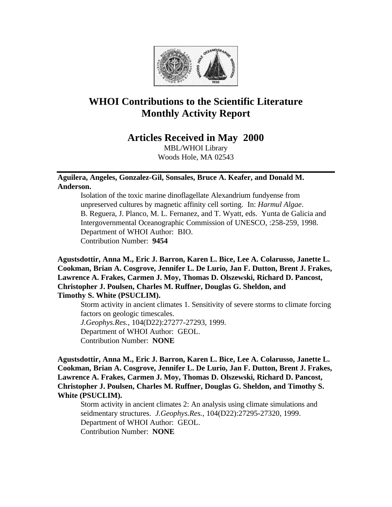

# **WHOI Contributions to the Scientific Literature Monthly Activity Report**

# **Articles Received in May 2000**

MBL/WHOI Library Woods Hole, MA 02543

# **Aguilera, Angeles, Gonzalez-Gil, Sonsales, Bruce A. Keafer, and Donald M. Anderson.**

Isolation of the toxic marine dinoflagellate Alexandrium fundyense from unpreserved cultures by magnetic affinity cell sorting. In: *Harmul Algae*. B. Reguera, J. Planco, M. L. Fernanez, and T. Wyatt, eds. Yunta de Galicia and Intergovernmental Oceanographic Commission of UNESCO, :258-259, 1998. Department of WHOI Author: BIO. Contribution Number: **9454**

**Agustsdottir, Anna M., Eric J. Barron, Karen L. Bice, Lee A. Colarusso, Janette L. Cookman, Brian A. Cosgrove, Jennifer L. De Lurio, Jan F. Dutton, Brent J. Frakes, Lawrence A. Frakes, Carmen J. Moy, Thomas D. Olszewski, Richard D. Pancost, Christopher J. Poulsen, Charles M. Ruffner, Douglas G. Sheldon, and Timothy S. White (PSUCLIM).**

Storm activity in ancient climates 1. Sensitivity of severe storms to climate forcing factors on geologic timescales. *J.Geophys.Res.*, 104(D22):27277-27293, 1999. Department of WHOI Author: GEOL. Contribution Number: **NONE**

**Agustsdottir, Anna M., Eric J. Barron, Karen L. Bice, Lee A. Colarusso, Janette L. Cookman, Brian A. Cosgrove, Jennifer L. De Lurio, Jan F. Dutton, Brent J. Frakes, Lawrence A. Frakes, Carmen J. Moy, Thomas D. Olszewski, Richard D. Pancost, Christopher J. Poulsen, Charles M. Ruffner, Douglas G. Sheldon, and Timothy S. White (PSUCLIM).**

Storm activity in ancient climates 2: An analysis using climate simulations and seidmentary structures. *J.Geophys.Res.*, 104(D22):27295-27320, 1999. Department of WHOI Author: GEOL. Contribution Number: **NONE**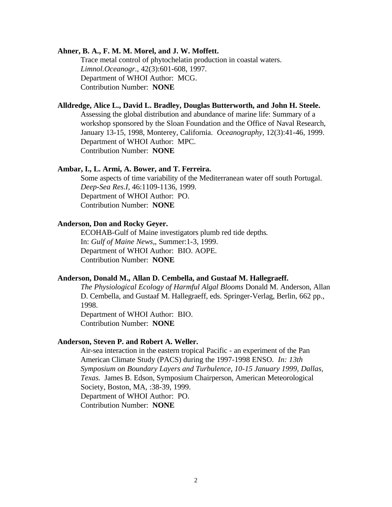#### **Ahner, B. A., F. M. M. Morel, and J. W. Moffett.**

Trace metal control of phytochelatin production in coastal waters. *Limnol.Oceanogr.*, 42(3):601-608, 1997. Department of WHOI Author: MCG. Contribution Number: **NONE**

# **Alldredge, Alice L., David L. Bradley, Douglas Butterworth, and John H. Steele.**

Assessing the global distribution and abundance of marine life: Summary of a workshop sponsored by the Sloan Foundation and the Office of Naval Research, January 13-15, 1998, Monterey, California. *Oceanography*, 12(3):41-46, 1999. Department of WHOI Author: MPC. Contribution Number: **NONE**

### **Ambar, I., L. Armi, A. Bower, and T. Ferreira.**

Some aspects of time variability of the Mediterranean water off south Portugal. *Deep-Sea Res.I*, 46:1109-1136, 1999. Department of WHOI Author: PO. Contribution Number: **NONE**

# **Anderson, Don and Rocky Geyer.**

ECOHAB-Gulf of Maine investigators plumb red tide depths*.*  In: *Gulf of Maine News,*, Summer:1-3, 1999. Department of WHOI Author: BIO. AOPE. Contribution Number: **NONE**

# **Anderson, Donald M., Allan D. Cembella, and Gustaaf M. Hallegraeff.**

*The Physiological Ecology of Harmful Algal Blooms* Donald M. Anderson, Allan D. Cembella, and Gustaaf M. Hallegraeff, eds. Springer-Verlag, Berlin, 662 pp., 1998.

Department of WHOI Author: BIO. Contribution Number: **NONE**

#### **Anderson, Steven P. and Robert A. Weller.**

Air-sea interaction in the eastern tropical Pacific - an experiment of the Pan American Climate Study (PACS) during the 1997-1998 ENSO*. In: 13th Symposium on Boundary Layers and Turbulence, 10-15 January 1999, Dallas, Texas.* James B. Edson, Symposium Chairperson, American Meteorological Society, Boston, MA, :38-39, 1999. Department of WHOI Author: PO. Contribution Number: **NONE**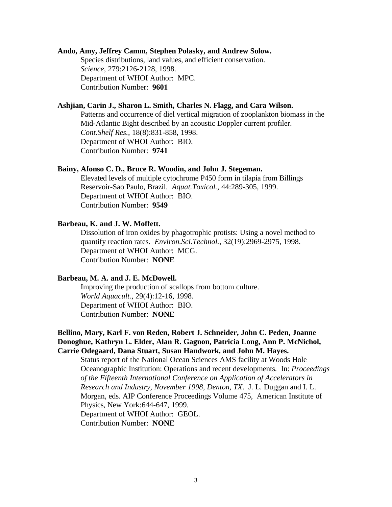#### **Ando, Amy, Jeffrey Camm, Stephen Polasky, and Andrew Solow.**

Species distributions, land values, and efficient conservation. *Science*, 279:2126-2128, 1998. Department of WHOI Author: MPC. Contribution Number: **9601**

# **Ashjian, Carin J., Sharon L. Smith, Charles N. Flagg, and Cara Wilson.**

Patterns and occurrence of diel vertical migration of zooplankton biomass in the Mid-Atlantic Bight described by an acoustic Doppler current profiler. *Cont.Shelf Res.*, 18(8):831-858, 1998. Department of WHOI Author: BIO. Contribution Number: **9741**

#### **Bainy, Afonso C. D., Bruce R. Woodin, and John J. Stegeman.**

Elevated levels of multiple cytochrome P450 form in tilapia from Billings Reservoir-Sao Paulo, Brazil. *Aquat.Toxicol.*, 44:289-305, 1999. Department of WHOI Author: BIO. Contribution Number: **9549**

#### **Barbeau, K. and J. W. Moffett.**

Dissolution of iron oxides by phagotrophic protists: Using a novel method to quantify reaction rates. *Environ.Sci.Technol.*, 32(19):2969-2975, 1998. Department of WHOI Author: MCG. Contribution Number: **NONE**

#### **Barbeau, M. A. and J. E. McDowell.**

Improving the production of scallops from bottom culture. *World Aquacult.*, 29(4):12-16, 1998. Department of WHOI Author: BIO. Contribution Number: **NONE**

# **Bellino, Mary, Karl F. von Reden, Robert J. Schneider, John C. Peden, Joanne Donoghue, Kathryn L. Elder, Alan R. Gagnon, Patricia Long, Ann P. McNichol, Carrie Odegaard, Dana Stuart, Susan Handwork, and John M. Hayes.**

Status report of the National Ocean Sciences AMS facility at Woods Hole Oceanographic Institution: Operations and recent developments*.* In: *Proceedings of the Fifteenth International Conference on Application of Accelerators in Research and Industry, November 1998, Denton, TX*. J. L. Duggan and I. L. Morgan, eds. AIP Conference Proceedings Volume 475, American Institute of Physics, New York:644-647, 1999. Department of WHOI Author: GEOL. Contribution Number: **NONE**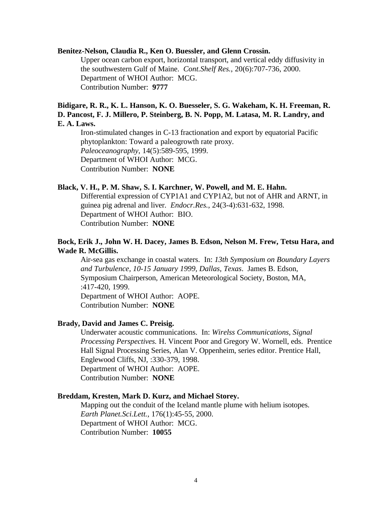#### **Benitez-Nelson, Claudia R., Ken O. Buessler, and Glenn Crossin.**

Upper ocean carbon export, horizontal transport, and vertical eddy diffusivity in the southwestern Gulf of Maine. *Cont.Shelf Res.*, 20(6):707-736, 2000. Department of WHOI Author: MCG. Contribution Number: **9777**

# **Bidigare, R. R., K. L. Hanson, K. O. Buesseler, S. G. Wakeham, K. H. Freeman, R. D. Pancost, F. J. Millero, P. Steinberg, B. N. Popp, M. Latasa, M. R. Landry, and E. A. Laws.**

Iron-stimulated changes in C-13 fractionation and export by equatorial Pacific phytoplankton: Toward a paleogrowth rate proxy. *Paleoceanography*, 14(5):589-595, 1999. Department of WHOI Author: MCG. Contribution Number: **NONE**

#### **Black, V. H., P. M. Shaw, S. I. Karchner, W. Powell, and M. E. Hahn.**

Differential expression of CYP1A1 and CYP1A2, but not of AHR and ARNT, in guinea pig adrenal and liver. *Endocr.Res.*, 24(3-4):631-632, 1998. Department of WHOI Author: BIO. Contribution Number: **NONE**

# **Bock, Erik J., John W. H. Dacey, James B. Edson, Nelson M. Frew, Tetsu Hara, and Wade R. McGillis.**

Air-sea gas exchange in coastal waters. In: *13th Symposium on Boundary Layers and Turbulence, 10-15 January 1999, Dallas, Texas*. James B. Edson, Symposium Chairperson, American Meteorological Society, Boston, MA, :417-420, 1999. Department of WHOI Author: AOPE. Contribution Number: **NONE**

### **Brady, David and James C. Preisig.**

Underwater acoustic communications. In: *Wirelss Communications, Signal Processing Perspectives.* H. Vincent Poor and Gregory W. Wornell, eds. Prentice Hall Signal Processing Series, Alan V. Oppenheim, series editor. Prentice Hall, Englewood Cliffs, NJ, :330-379, 1998. Department of WHOI Author: AOPE. Contribution Number: **NONE**

# **Breddam, Kresten, Mark D. Kurz, and Michael Storey.**

Mapping out the conduit of the Iceland mantle plume with helium isotopes. *Earth Planet.Sci.Lett.*, 176(1):45-55, 2000. Department of WHOI Author: MCG. Contribution Number: **10055**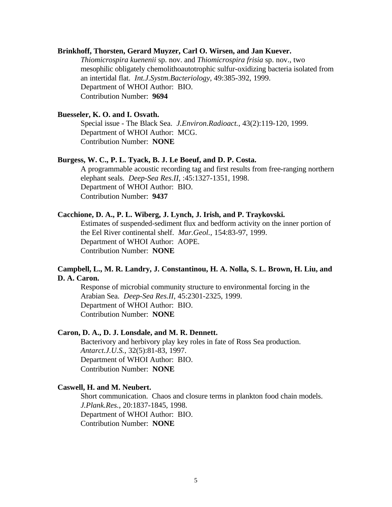#### **Brinkhoff, Thorsten, Gerard Muyzer, Carl O. Wirsen, and Jan Kuever.**

*Thiomicrospira kuenenii* sp. nov. and *Thiomicrospira frisia* sp. nov., two mesophilic obligately chemolithoautotrophic sulfur-oxidizing bacteria isolated from an intertidal flat. *Int.J.Systm.Bacteriology*, 49:385-392, 1999. Department of WHOI Author: BIO. Contribution Number: **9694**

# **Buesseler, K. O. and I. Osvath.**

Special issue - The Black Sea. *J.Environ.Radioact.*, 43(2):119-120, 1999. Department of WHOI Author: MCG. Contribution Number: **NONE**

# **Burgess, W. C., P. L. Tyack, B. J. Le Boeuf, and D. P. Costa.**

A programmable acoustic recording tag and first results from free-ranging northern elephant seals. *Deep-Sea Res.II*, :45:1327-1351, 1998. Department of WHOI Author: BIO. Contribution Number: **9437**

#### **Cacchione, D. A., P. L. Wiberg, J. Lynch, J. Irish, and P. Traykovski.**

Estimates of suspended-sediment flux and bedform activity on the inner portion of the Eel River continental shelf. *Mar.Geol.*, 154:83-97, 1999. Department of WHOI Author: AOPE. Contribution Number: **NONE**

# **Campbell, L., M. R. Landry, J. Constantinou, H. A. Nolla, S. L. Brown, H. Liu, and D. A. Caron.**

Response of microbial community structure to environmental forcing in the Arabian Sea. *Deep-Sea Res.II*, 45:2301-2325, 1999. Department of WHOI Author: BIO. Contribution Number: **NONE**

# **Caron, D. A., D. J. Lonsdale, and M. R. Dennett.**

Bacterivory and herbivory play key roles in fate of Ross Sea production. *Antarct.J.U.S.*, 32(5):81-83, 1997. Department of WHOI Author: BIO. Contribution Number: **NONE**

### **Caswell, H. and M. Neubert.**

Short communication. Chaos and closure terms in plankton food chain models. *J.Plank.Res.*, 20:1837-1845, 1998. Department of WHOI Author: BIO. Contribution Number: **NONE**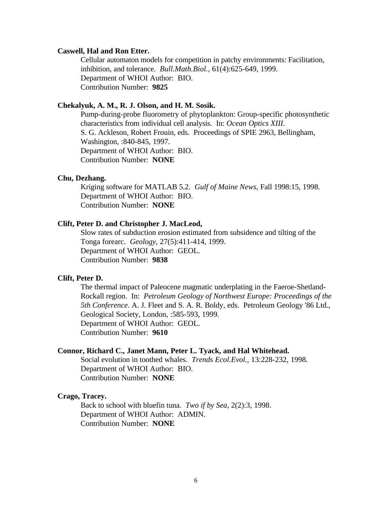#### **Caswell, Hal and Ron Etter.**

Cellular automaton models for competition in patchy environments: Facilitation, inhibition, and tolerance. *Bull.Math.Biol.*, 61(4):625-649, 1999. Department of WHOI Author: BIO. Contribution Number: **9825**

# **Chekalyuk, A. M., R. J. Olson, and H. M. Sosik.**

Pump-during-probe fluorometry of phytoplankton: Group-specific photosynthetic characteristics from individual cell analysis. In: *Ocean Optics XIII*. S. G. Ackleson, Robert Frouin, eds. Proceedings of SPIE 2963, Bellingham, Washington, :840-845, 1997. Department of WHOI Author: BIO. Contribution Number: **NONE**

#### **Chu, Dezhang.**

Kriging software for MATLAB 5.2. *Gulf of Maine News*, Fall 1998:15, 1998. Department of WHOI Author: BIO. Contribution Number: **NONE**

# **Clift, Peter D. and Christopher J. MacLeod,**

Slow rates of subduction erosion estimated from subsidence and tilting of the Tonga forearc. *Geology*, 27(5):411-414, 1999. Department of WHOI Author: GEOL. Contribution Number: **9838**

#### **Clift, Peter D.**

The thermal impact of Paleocene magmatic underplating in the Faeroe-Shetland-Rockall region. In: *Petroleum Geology of Northwest Europe: Proceedings of the 5th Conference*. A. J. Fleet and S. A. R. Boldy, eds. Petroleum Geology '86 Ltd., Geological Society, London, :585-593, 1999. Department of WHOI Author: GEOL. Contribution Number: **9610**

#### **Connor, Richard C., Janet Mann, Peter L. Tyack, and Hal Whitehead.**

Social evolution in toothed whales. *Trends Ecol.Evol.*, 13:228-232, 1998. Department of WHOI Author: BIO. Contribution Number: **NONE**

#### **Crago, Tracey.**

Back to school with bluefin tuna. *Two if by Sea*, 2(2):3, 1998. Department of WHOI Author: ADMIN. Contribution Number: **NONE**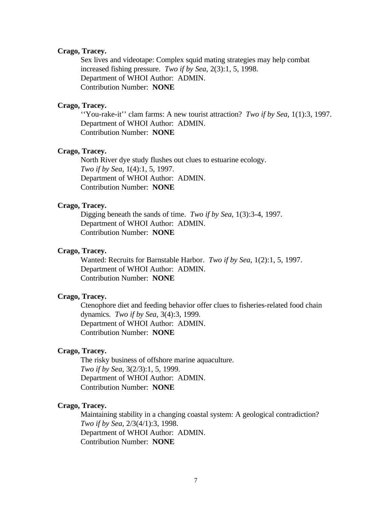### **Crago, Tracey.**

Sex lives and videotape: Complex squid mating strategies may help combat increased fishing pressure. *Two if by Sea*, 2(3):1, 5, 1998. Department of WHOI Author: ADMIN. Contribution Number: **NONE**

### **Crago, Tracey.**

''You-rake-it'' clam farms: A new tourist attraction? *Two if by Sea*, 1(1):3, 1997. Department of WHOI Author: ADMIN. Contribution Number: **NONE**

#### **Crago, Tracey.**

North River dye study flushes out clues to estuarine ecology. *Two if by Sea*, 1(4):1, 5, 1997. Department of WHOI Author: ADMIN. Contribution Number: **NONE**

#### **Crago, Tracey.**

Digging beneath the sands of time. *Two if by Sea*, 1(3):3-4, 1997. Department of WHOI Author: ADMIN. Contribution Number: **NONE**

#### **Crago, Tracey.**

Wanted: Recruits for Barnstable Harbor. *Two if by Sea*, 1(2):1, 5, 1997. Department of WHOI Author: ADMIN. Contribution Number: **NONE**

#### **Crago, Tracey.**

Ctenophore diet and feeding behavior offer clues to fisheries-related food chain dynamics. *Two if by Sea*, 3(4):3, 1999. Department of WHOI Author: ADMIN. Contribution Number: **NONE**

#### **Crago, Tracey.**

The risky business of offshore marine aquaculture. *Two if by Sea*, 3(2/3):1, 5, 1999. Department of WHOI Author: ADMIN. Contribution Number: **NONE**

#### **Crago, Tracey.**

Maintaining stability in a changing coastal system: A geological contradiction? *Two if by Sea*, 2/3(4/1):3, 1998. Department of WHOI Author: ADMIN. Contribution Number: **NONE**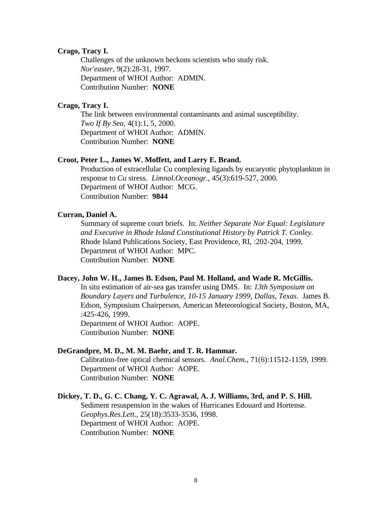# **Crago, Tracy I.**

Challenges of the unknown beckons scientists who study risk. *Nor'easter*, 9(2):28-31, 1997. Department of WHOI Author: ADMIN. Contribution Number: **NONE**

# **Crago, Tracy I.**

The link between environmental contaminants and animal susceptibility. *Two If By Sea*, 4(1):1, 5, 2000. Department of WHOI Author: ADMIN. Contribution Number: **NONE**

#### **Croot, Peter L., James W. Moffett, and Larry E. Brand.**

Production of extracellular Cu complexing ligands by eucaryotic phytoplankton in response to Cu stress. *Limnol.Oceanogr.*, 45(3):619-527, 2000. Department of WHOI Author: MCG. Contribution Number: **9844**

# **Curran, Daniel A.**

Summary of supreme court briefs. In: *Neither Separate Nor Equal: Legislature and Executive in Rhode Island Constitutional History by Patrick T. Conley.*  Rhode Island Publications Society, East Providence, RI, :202-204, 1999. Department of WHOI Author: MPC. Contribution Number: **NONE**

# **Dacey, John W. H., James B. Edson, Paul M. Holland, and Wade R. McGillis.**

In situ estimation of air-sea gas transfer using DMS. In: *13th Symposium on Boundary Layers and Turbulence, 10-15 January 1999, Dallas, Texas*. James B. Edson, Symposium Chairperson, American Meteorological Society, Boston, MA, :425-426, 1999.

Department of WHOI Author: AOPE. Contribution Number: **NONE**

#### **DeGrandpre, M. D., M. M. Baehr, and T. R. Hammar.**

Calibration-free optical chemical sensors. *Anal.Chem.*, 71(6):11512-1159, 1999. Department of WHOI Author: AOPE. Contribution Number: **NONE**

# **Dickey, T. D., G. C. Chang, Y. C. Agrawal, A. J. Williams, 3rd, and P. S. Hill.**

Sediment resuspension in the wakes of Hurricanes Edouard and Hortense. *Geophys.Res.Lett.*, 25(18):3533-3536, 1998. Department of WHOI Author: AOPE. Contribution Number: **NONE**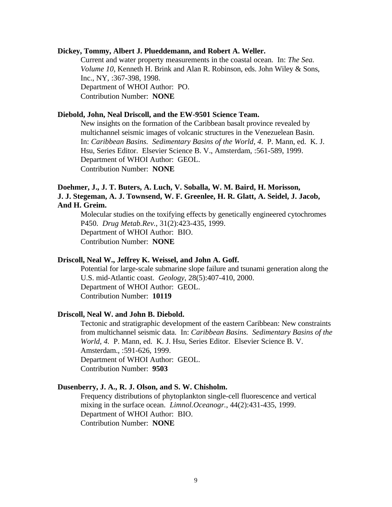#### **Dickey, Tommy, Albert J. Plueddemann, and Robert A. Weller.**

Current and water property measurements in the coastal ocean. In: *The Sea. Volume 10*, Kenneth H. Brink and Alan R. Robinson, eds. John Wiley & Sons, Inc., NY, :367-398, 1998. Department of WHOI Author: PO. Contribution Number: **NONE**

#### **Diebold, John, Neal Driscoll, and the EW-9501 Science Team.**

New insights on the formation of the Caribbean basalt province revealed by multichannel seismic images of volcanic structures in the Venezuelean Basin. In: *Caribbean Basins. Sedimentary Basins of the World, 4*. P. Mann, ed. K. J. Hsu, Series Editor. Elsevier Science B. V., Amsterdam, :561-589, 1999. Department of WHOI Author: GEOL. Contribution Number: **NONE**

# **Doehmer, J., J. T. Buters, A. Luch, V. Soballa, W. M. Baird, H. Morisson, J. J. Stegeman, A. J. Townsend, W. F. Greenlee, H. R. Glatt, A. Seidel, J. Jacob, And H. Greim.**

Molecular studies on the toxifying effects by genetically engineered cytochromes P450. *Drug Metab.Rev.*, 31(2):423-435, 1999. Department of WHOI Author: BIO. Contribution Number: **NONE**

### **Driscoll, Neal W., Jeffrey K. Weissel, and John A. Goff.**

Potential for large-scale submarine slope failure and tsunami generation along the U.S. mid-Atlantic coast. *Geology*, 28(5):407-410, 2000. Department of WHOI Author: GEOL. Contribution Number: **10119**

#### **Driscoll, Neal W. and John B. Diebold.**

Tectonic and stratigraphic development of the eastern Caribbean: New constraints from multichannel seismic data. In: *Caribbean Basins. Sedimentary Basins of the World, 4.* P. Mann, ed. K. J. Hsu, Series Editor. Elsevier Science B. V. Amsterdam., :591-626, 1999. Department of WHOI Author: GEOL. Contribution Number: **9503**

#### **Dusenberry, J. A., R. J. Olson, and S. W. Chisholm.**

Frequency distributions of phytoplankton single-cell fluorescence and vertical mixing in the surface ocean. *Limnol.Oceanogr.*, 44(2):431-435, 1999. Department of WHOI Author: BIO. Contribution Number: **NONE**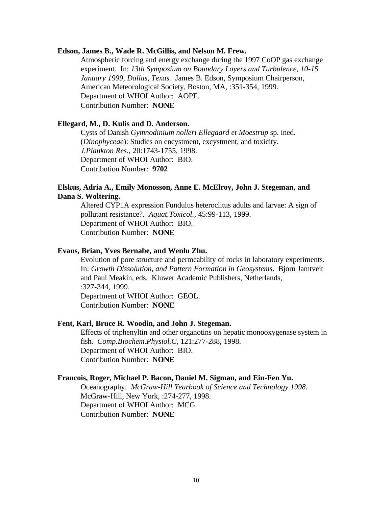#### **Edson, James B., Wade R. McGillis, and Nelson M. Frew.**

Atmospheric forcing and energy exchange during the 1997 CoOP gas exchange experiment. In: *13th Symposium on Boundary Layers and Turbulence, 10-15 January 1999, Dallas, Texas.* James B. Edson, Symposium Chairperson, American Meteorological Society, Boston, MA, :351-354, 1999. Department of WHOI Author: AOPE. Contribution Number: **NONE**

# **Ellegard, M., D. Kulis and D. Anderson.**

Cysts of Danish *Gymnodinium nolleri Ellegaard et Moestrup* sp. ined. (*Dinophyceae*): Studies on encystment, excystment, and toxicity. *J.Plankton Res.*, 20:1743-1755, 1998. Department of WHOI Author: BIO. Contribution Number: **9702**

# **Elskus, Adria A., Emily Monosson, Anne E. McElroy, John J. Stegeman, and Dana S. Woltering.**

Altered CYP1A expression Fundulus heteroclitus adults and larvae: A sign of pollutant resistance?. *Aquat.Toxicol.*, 45:99-113, 1999. Department of WHOI Author: BIO. Contribution Number: **NONE**

#### **Evans, Brian, Yves Bernabe, and Wenlu Zhu.**

Evolution of pore structure and permeability of rocks in laboratory experiments. In: *Growth Dissolution, and Pattern Formation in Geosystems*. Bjorn Jamtveit and Paul Meakin, eds. Kluwer Academic Publishers, Netherlands, :327-344, 1999. Department of WHOI Author: GEOL. Contribution Number: **NONE**

### **Fent, Karl, Bruce R. Woodin, and John J. Stegeman.**

Effects of triphenyltin and other organotins on hepatic monooxygenase system in fish. *Comp.Biochem.Physiol.C*, 121:277-288, 1998. Department of WHOI Author: BIO. Contribution Number: **NONE**

# **Francois, Roger, Michael P. Bacon, Daniel M. Sigman, and Ein-Fen Yu.**

Oceanography. *McGraw-Hill Yearbook of Science and Technology 1998.*  McGraw-Hill, New York, :274-277, 1998. Department of WHOI Author: MCG. Contribution Number: **NONE**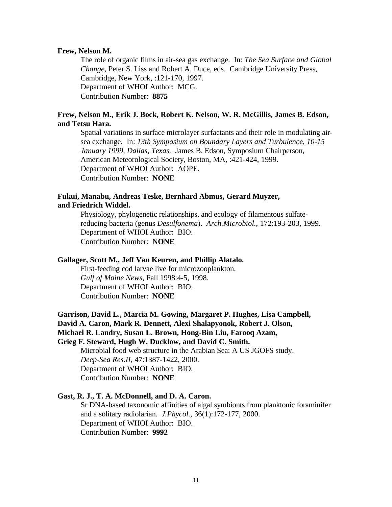#### **Frew, Nelson M.**

The role of organic films in air-sea gas exchange. In: *The Sea Surface and Global Change,* Peter S. Liss and Robert A. Duce, eds. Cambridge University Press, Cambridge, New York, :121-170, 1997. Department of WHOI Author: MCG. Contribution Number: **8875**

# **Frew, Nelson M., Erik J. Bock, Robert K. Nelson, W. R. McGillis, James B. Edson, and Tetsu Hara.**

Spatial variations in surface microlayer surfactants and their role in modulating airsea exchange. In: *13th Symposium on Boundary Layers and Turbulence, 10-15 January 1999, Dallas, Texas.* James B. Edson, Symposium Chairperson, American Meteorological Society, Boston, MA, :421-424, 1999. Department of WHOI Author: AOPE. Contribution Number: **NONE**

#### **Fukui, Manabu, Andreas Teske, Bernhard Abmus, Gerard Muyzer, and Friedrich Widdel.**

Physiology, phylogenetic relationships, and ecology of filamentous sulfatereducing bacteria (genus *Desulfonema*). *Arch.Microbiol.*, 172:193-203, 1999. Department of WHOI Author: BIO. Contribution Number: **NONE**

### **Gallager, Scott M., Jeff Van Keuren, and Phillip Alatalo.**

First-feeding cod larvae live for microzooplankton. *Gulf of Maine News*, Fall 1998:4-5, 1998. Department of WHOI Author: BIO. Contribution Number: **NONE**

# **Garrison, David L., Marcia M. Gowing, Margaret P. Hughes, Lisa Campbell, David A. Caron, Mark R. Dennett, Alexi Shalapyonok, Robert J. Olson,**

**Michael R. Landry, Susan L. Brown, Hong-Bin Liu, Farooq Azam,** 

#### **Grieg F. Steward, Hugh W. Ducklow, and David C. Smith.**

Microbial food web structure in the Arabian Sea: A US JGOFS study. *Deep-Sea Res.II*, 47:1387-1422, 2000. Department of WHOI Author: BIO. Contribution Number: **NONE**

# **Gast, R. J., T. A. McDonnell, and D. A. Caron.**

Sr DNA-based taxonomic affinities of algal symbionts from planktonic foraminifer and a solitary radiolarian. *J.Phycol.*, 36(1):172-177, 2000. Department of WHOI Author: BIO. Contribution Number: **9992**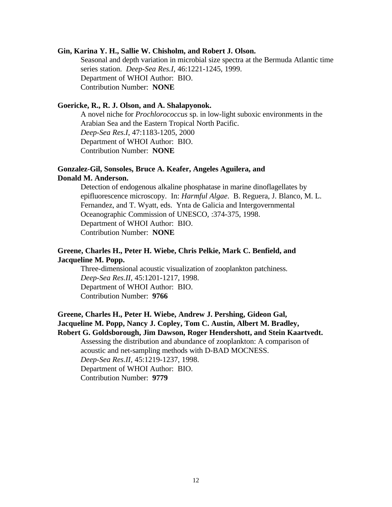#### **Gin, Karina Y. H., Sallie W. Chisholm, and Robert J. Olson.**

Seasonal and depth variation in microbial size spectra at the Bermuda Atlantic time series station. *Deep-Sea Res.I*, 46:1221-1245, 1999. Department of WHOI Author: BIO. Contribution Number: **NONE**

# **Goericke, R., R. J. Olson, and A. Shalapyonok.**

A novel niche for *Prochlorococcus* sp. in low-light suboxic environments in the Arabian Sea and the Eastern Tropical North Pacific. *Deep-Sea Res.I*, 47:1183-1205, 2000 Department of WHOI Author: BIO. Contribution Number: **NONE**

#### **Gonzalez-Gil, Sonsoles, Bruce A. Keafer, Angeles Aguilera, and Donald M. Anderson.**

Detection of endogenous alkaline phosphatase in marine dinoflagellates by epifluorescence microscopy. In: *Harmful Algae*. B. Reguera, J. Blanco, M. L. Fernandez, and T. Wyatt, eds. Ynta de Galicia and Intergovernmental Oceanographic Commission of UNESCO, :374-375, 1998. Department of WHOI Author: BIO. Contribution Number: **NONE**

# **Greene, Charles H., Peter H. Wiebe, Chris Pelkie, Mark C. Benfield, and Jacqueline M. Popp.**

Three-dimensional acoustic visualization of zooplankton patchiness. *Deep-Sea Res.II*, 45:1201-1217, 1998. Department of WHOI Author: BIO. Contribution Number: **9766**

# **Greene, Charles H., Peter H. Wiebe, Andrew J. Pershing, Gideon Gal, Jacqueline M. Popp, Nancy J. Copley, Tom C. Austin, Albert M. Bradley, Robert G. Goldsborough, Jim Dawson, Roger Hendershott, and Stein Kaartvedt.**

Assessing the distribution and abundance of zooplankton: A comparison of acoustic and net-sampling methods with D-BAD MOCNESS. *Deep-Sea Res.II*, 45:1219-1237, 1998. Department of WHOI Author: BIO.

Contribution Number: **9779**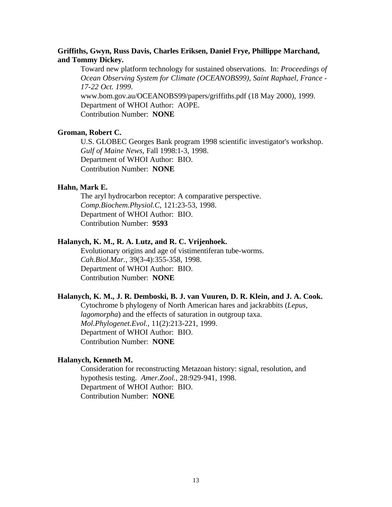# **Griffiths, Gwyn, Russ Davis, Charles Eriksen, Daniel Frye, Phillippe Marchand, and Tommy Dickey.**

Toward new platform technology for sustained observations. In: *Proceedings of Ocean Observing System for Climate (OCEANOBS99), Saint Raphael, France - 17-22 Oct. 1999*. www.bom.gov.au/OCEANOBS99/papers/griffiths.pdf (18 May 2000), 1999.

Department of WHOI Author: AOPE.

Contribution Number: **NONE**

# **Groman, Robert C.**

U.S. GLOBEC Georges Bank program 1998 scientific investigator's workshop. *Gulf of Maine News*, Fall 1998:1-3, 1998. Department of WHOI Author: BIO. Contribution Number: **NONE**

# **Hahn, Mark E.**

The aryl hydrocarbon receptor: A comparative perspective. *Comp.Biochem.Physiol.C*, 121:23-53, 1998. Department of WHOI Author: BIO. Contribution Number: **9593**

# **Halanych, K. M., R. A. Lutz, and R. C. Vrijenhoek.**

Evolutionary origins and age of vistimentiferan tube-worms. *Cah.Biol.Mar.*, 39(3-4):355-358, 1998. Department of WHOI Author: BIO. Contribution Number: **NONE**

#### **Halanych, K. M., J. R. Demboski, B. J. van Vuuren, D. R. Klein, and J. A. Cook.**

Cytochrome b phylogeny of North American hares and jackrabbits (*Lepus, lagomorpha*) and the effects of saturation in outgroup taxa. *Mol.Phylogenet.Evol.*, 11(2):213-221, 1999. Department of WHOI Author: BIO. Contribution Number: **NONE**

#### **Halanych, Kenneth M.**

Consideration for reconstructing Metazoan history: signal, resolution, and hypothesis testing. *Amer.Zool.*, 28:929-941, 1998. Department of WHOI Author: BIO. Contribution Number: **NONE**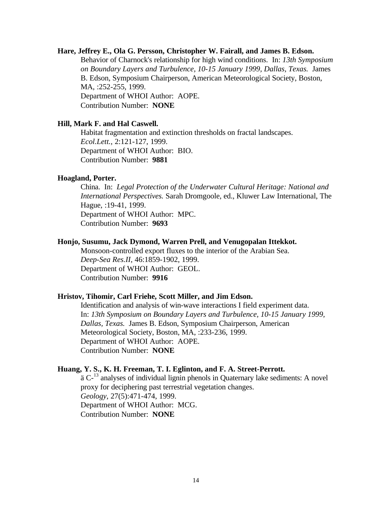#### **Hare, Jeffrey E., Ola G. Persson, Christopher W. Fairall, and James B. Edson.**

Behavior of Charnock's relationship for high wind conditions. In: *13th Symposium on Boundary Layers and Turbulence, 10-15 January 1999, Dallas, Texas.* James B. Edson, Symposium Chairperson, American Meteorological Society, Boston, MA, :252-255, 1999. Department of WHOI Author: AOPE. Contribution Number: **NONE**

#### **Hill, Mark F. and Hal Caswell.**

Habitat fragmentation and extinction thresholds on fractal landscapes. *Ecol.Lett.*, 2:121-127, 1999. Department of WHOI Author: BIO. Contribution Number: **9881**

#### **Hoagland, Porter.**

China. In: *Legal Protection of the Underwater Cultural Heritage: National and International Perspectives.* Sarah Dromgoole, ed., Kluwer Law International, The Hague, :19-41, 1999. Department of WHOI Author: MPC. Contribution Number: **9693**

#### **Honjo, Susumu, Jack Dymond, Warren Prell, and Venugopalan Ittekkot.**

Monsoon-controlled export fluxes to the interior of the Arabian Sea. *Deep-Sea Res.II*, 46:1859-1902, 1999. Department of WHOI Author: GEOL. Contribution Number: **9916**

#### **Hristov, Tihomir, Carl Friehe, Scott Miller, and Jim Edson.**

Identification and analysis of win-wave interactions I field experiment data. In: *13th Symposium on Boundary Layers and Turbulence, 10-15 January 1999, Dallas, Texas.* James B. Edson, Symposium Chairperson, American Meteorological Society, Boston, MA, :233-236, 1999. Department of WHOI Author: AOPE. Contribution Number: **NONE**

#### **Huang, Y. S., K. H. Freeman, T. I. Eglinton, and F. A. Street-Perrott.**

ä C<sup>-13</sup> analyses of individual lignin phenols in Quaternary lake sediments: A novel proxy for deciphering past terrestrial vegetation changes. *Geology*, 27(5):471-474, 1999. Department of WHOI Author: MCG. Contribution Number: **NONE**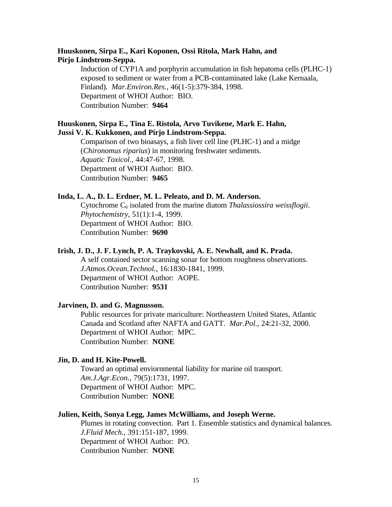# **Huuskonen, Sirpa E., Kari Koponen, Ossi Ritola, Mark Hahn, and Pirjo Lindstrom-Seppa.**

Induction of CYP1A and porphyrin accumulation in fish hepatoma cells (PLHC-1) exposed to sediment or water from a PCB-contaminated lake (Lake Kernaala, Finland). *Mar.Environ.Res.*, 46(1-5):379-384, 1998. Department of WHOI Author: BIO. Contribution Number: **9464**

# **Huuskonen, Sirpa E., Tina E. Ristola, Arvo Tuvikene, Mark E. Hahn, Jussi V. K. Kukkonen, and Pirjo Lindstrom-Seppa.**

Comparison of two bioasays, a fish liver cell line (PLHC-1) and a midge (*Chironomus riparius*) in monitoring freshwater sediments. *Aquatic Toxicol.*, 44:47-67, 1998. Department of WHOI Author: BIO. Contribution Number: **9465**

# **Inda, L. A., D. L. Erdner, M. L. Peleato, and D. M. Anderson.**

Cytochrome C<sub>6</sub> isolated from the marine diatom *Thalassiossira weissflogii*. *Phytochemistry*, 51(1):1-4, 1999. Department of WHOI Author: BIO. Contribution Number: **9690**

# **Irish, J. D., J. F. Lynch, P. A. Traykovski, A. E. Newhall, and K. Prada.**

A self contained sector scanning sonar for bottom roughness observations. *J.Atmos.Ocean.Technol.*, 16:1830-1841, 1999. Department of WHOI Author: AOPE. Contribution Number: **9531**

#### **Jarvinen, D. and G. Magnusson.**

Public resources for private mariculture: Northeastern United States, Atlantic Canada and Scotland after NAFTA and GATT. *Mar.Pol.*, 24:21-32, 2000. Department of WHOI Author: MPC. Contribution Number: **NONE**

# **Jin, D. and H. Kite-Powell.**

Toward an optimal enviornmental liability for marine oil transport. *Am.J.Agr.Econ.*, 79(5):1731, 1997. Department of WHOI Author: MPC. Contribution Number: **NONE**

#### **Julien, Keith, Sonya Legg, James McWilliams, and Joseph Werne.**

Plumes in rotating convection. Part 1. Ensemble statistics and dynamical balances. *J.Fluid Mech.*, 391:151-187, 1999. Department of WHOI Author: PO. Contribution Number: **NONE**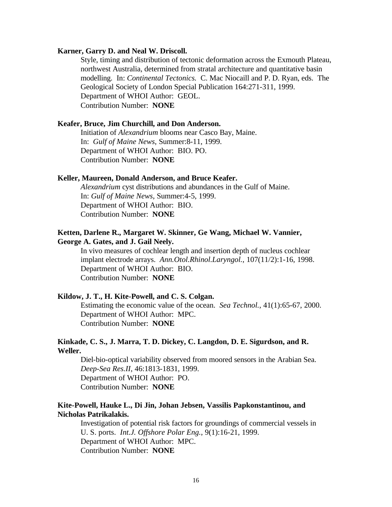#### **Karner, Garry D. and Neal W. Driscoll.**

Style, timing and distribution of tectonic deformation across the Exmouth Plateau, northwest Australia, determined from stratal architecture and quantitative basin modelling. In: *Continental Tectonics.* C. Mac Niocaill and P. D. Ryan, eds. The Geological Society of London Special Publication 164:271-311, 1999. Department of WHOI Author: GEOL. Contribution Number: **NONE**

#### **Keafer, Bruce, Jim Churchill, and Don Anderson.**

Initiation of *Alexandrium* blooms near Casco Bay, Maine. In: *Gulf of Maine News*, Summer:8-11, 1999. Department of WHOI Author: BIO. PO. Contribution Number: **NONE**

#### **Keller, Maureen, Donald Anderson, and Bruce Keafer.**

*Alexandrium* cyst distributions and abundances in the Gulf of Maine. In: *Gulf of Maine News*, Summer:4-5, 1999. Department of WHOI Author: BIO. Contribution Number: **NONE**

# **Ketten, Darlene R., Margaret W. Skinner, Ge Wang, Michael W. Vannier, George A. Gates, and J. Gail Neely.**

In vivo measures of cochlear length and insertion depth of nucleus cochlear implant electrode arrays. *Ann.Otol.Rhinol.Laryngol.*, 107(11/2):1-16, 1998. Department of WHOI Author: BIO. Contribution Number: **NONE**

# **Kildow, J. T., H. Kite-Powell, and C. S. Colgan.**

Estimating the economic value of the ocean. *Sea Technol.*, 41(1):65-67, 2000. Department of WHOI Author: MPC. Contribution Number: **NONE**

# **Kinkade, C. S., J. Marra, T. D. Dickey, C. Langdon, D. E. Sigurdson, and R. Weller.**

Diel-bio-optical variability observed from moored sensors in the Arabian Sea. *Deep-Sea Res.II*, 46:1813-1831, 1999. Department of WHOI Author: PO. Contribution Number: **NONE**

# **Kite-Powell, Hauke L., Di Jin, Johan Jebsen, Vassilis Papkonstantinou, and Nicholas Patrikalakis.**

Investigation of potential risk factors for groundings of commercial vessels in U. S. ports. *Int.J. Offshore Polar Eng.*, 9(1):16-21, 1999. Department of WHOI Author: MPC. Contribution Number: **NONE**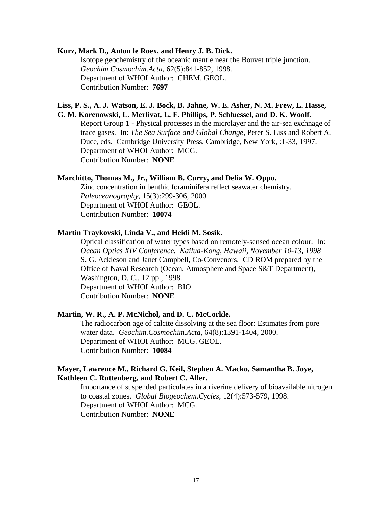# **Kurz, Mark D., Anton le Roex, and Henry J. B. Dick.**

Isotope geochemistry of the oceanic mantle near the Bouvet triple junction. *Geochim.Cosmochim.Acta*, 62(5):841-852, 1998. Department of WHOI Author: CHEM. GEOL. Contribution Number: **7697**

# **Liss, P. S., A. J. Watson, E. J. Bock, B. Jahne, W. E. Asher, N. M. Frew, L. Hasse, G. M. Korenowski, L. Merlivat, L. F. Phillips, P. Schluessel, and D. K. Woolf.**

Report Group 1 - Physical processes in the microlayer and the air-sea exchnage of trace gases. In: *The Sea Surface and Global Change,* Peter S. Liss and Robert A. Duce, eds. Cambridge University Press, Cambridge, New York, :1-33, 1997. Department of WHOI Author: MCG. Contribution Number: **NONE**

# **Marchitto, Thomas M., Jr., William B. Curry, and Delia W. Oppo.**

Zinc concentration in benthic foraminifera reflect seawater chemistry. *Paleoceanography*, 15(3):299-306, 2000. Department of WHOI Author: GEOL. Contribution Number: **10074**

# **Martin Traykovski, Linda V., and Heidi M. Sosik.**

Optical classification of water types based on remotely-sensed ocean colour. In: *Ocean Optics XIV Conference. Kailua-Kong, Hawaii, November 10-13, 1998*  S. G. Ackleson and Janet Campbell, Co-Convenors. CD ROM prepared by the Office of Naval Research (Ocean, Atmosphere and Space S&T Department), Washington, D. C., 12 pp., 1998. Department of WHOI Author: BIO. Contribution Number: **NONE**

#### **Martin, W. R., A. P. McNichol, and D. C. McCorkle.**

The radiocarbon age of calcite dissolving at the sea floor: Estimates from pore water data. *Geochim.Cosmochim.Acta*, 64(8):1391-1404, 2000. Department of WHOI Author: MCG. GEOL. Contribution Number: **10084**

# **Mayer, Lawrence M., Richard G. Keil, Stephen A. Macko, Samantha B. Joye, Kathleen C. Ruttenberg, and Robert C. Aller.**

Importance of suspended particulates in a riverine delivery of bioavailable nitrogen to coastal zones. *Global Biogeochem.Cycles*, 12(4):573-579, 1998. Department of WHOI Author: MCG. Contribution Number: **NONE**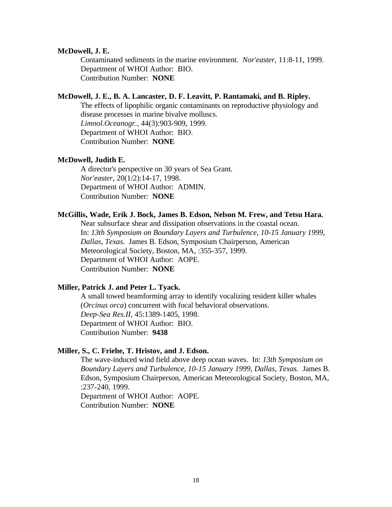#### **McDowell, J. E.**

Contaminated sediments in the marine environment. *Nor'easter*, 11:8-11, 1999. Department of WHOI Author: BIO. Contribution Number: **NONE**

#### **McDowell, J. E., B. A. Lancaster, D. F. Leavitt, P. Rantamaki, and B. Ripley.**

The effects of lipophilic organic contaminants on reproductive physiology and disease processes in marine bivalve molluscs. *Limnol.Oceanogr.*, 44(3):903-909, 1999. Department of WHOI Author: BIO. Contribution Number: **NONE**

#### **McDowell, Judith E.**

A director's perspective on 30 years of Sea Grant. *Nor'easter*, 20(1/2):14-17, 1998. Department of WHOI Author: ADMIN. Contribution Number: **NONE**

#### **McGillis, Wade, Erik J. Bock, James B. Edson, Nelson M. Frew, and Tetsu Hara.**

Near subsurface shear and dissipation observations in the coastal ocean. In: *13th Symposium on Boundary Layers and Turbulence, 10-15 January 1999, Dallas, Texas.* James B. Edson, Symposium Chairperson, American Meteorological Society, Boston, MA, :355-357, 1999. Department of WHOI Author: AOPE. Contribution Number: **NONE**

# **Miller, Patrick J. and Peter L. Tyack.**

A small towed beamforming array to identify vocalizing resident killer whales (*Orcinus orca*) concurrent with focal behavioral observations. *Deep-Sea Res.II*, 45:1389-1405, 1998. Department of WHOI Author: BIO. Contribution Number: **9438**

# **Miller, S., C. Friehe, T. Hristov, and J. Edson.**

The wave-induced wind field above deep ocean waves. In: *13th Symposium on Boundary Layers and Turbulence, 10-15 January 1999, Dallas, Texas.* James B. Edson, Symposium Chairperson, American Meteorological Society, Boston, MA, :237-240, 1999.

Department of WHOI Author: AOPE. Contribution Number: **NONE**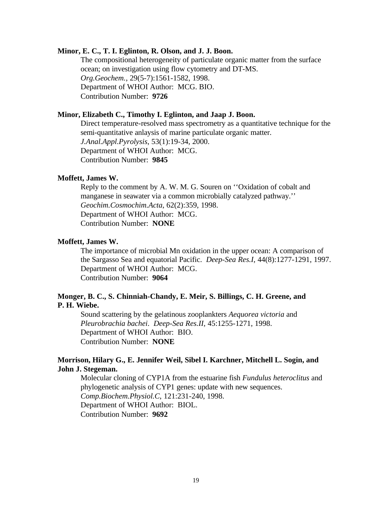#### **Minor, E. C., T. I. Eglinton, R. Olson, and J. J. Boon.**

The compositional heterogeneity of particulate organic matter from the surface ocean; on investigation using flow cytometry and DT-MS. *Org.Geochem.*, 29(5-7):1561-1582, 1998. Department of WHOI Author: MCG. BIO. Contribution Number: **9726**

# **Minor, Elizabeth C., Timothy I. Eglinton, and Jaap J. Boon.**

Direct temperature-resolved mass spectrometry as a quantitative technique for the semi-quantitative anlaysis of marine particulate organic matter. *J.Anal.Appl.Pyrolysis*, 53(1):19-34, 2000.

Department of WHOI Author: MCG.

Contribution Number: **9845**

#### **Moffett, James W.**

Reply to the comment by A. W. M. G. Souren on ''Oxidation of cobalt and manganese in seawater via a common microbially catalyzed pathway.'' *Geochim.Cosmochim.Acta*, 62(2):359, 1998. Department of WHOI Author: MCG. Contribution Number: **NONE**

#### **Moffett, James W.**

The importance of microbial Mn oxidation in the upper ocean: A comparison of the Sargasso Sea and equatorial Pacific. *Deep-Sea Res.I*, 44(8):1277-1291, 1997. Department of WHOI Author: MCG. Contribution Number: **9064**

# **Monger, B. C., S. Chinniah-Chandy, E. Meir, S. Billings, C. H. Greene, and P. H. Wiebe.**

Sound scattering by the gelatinous zooplankters *Aequorea victoria* and *Pleurobrachia bachei*. *Deep-Sea Res.II*, 45:1255-1271, 1998. Department of WHOI Author: BIO. Contribution Number: **NONE**

# **Morrison, Hilary G., E. Jennifer Weil, Sibel I. Karchner, Mitchell L. Sogin, and John J. Stegeman.**

Molecular cloning of CYP1A from the estuarine fish *Fundulus heteroclitus* and phylogenetic analysis of CYP1 genes: update with new sequences. *Comp.Biochem.Physiol.C*, 121:231-240, 1998. Department of WHOI Author: BIOL. Contribution Number: **9692**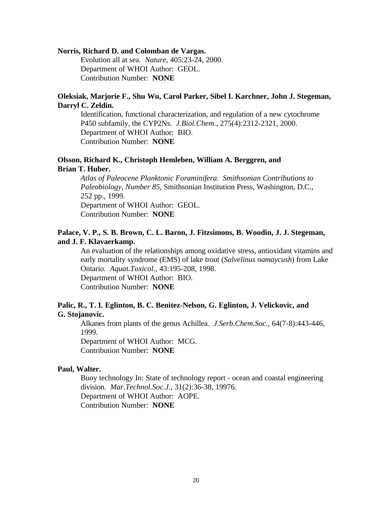#### **Norris, Richard D. and Colomban de Vargas.**

Evolution all at sea. *Nature*, 405:23-24, 2000. Department of WHOI Author: GEOL. Contribution Number: **NONE**

# **Oleksiak, Marjorie F., Shu Wu, Carol Parker, Sibel I. Karchner, John J. Stegeman, Darryl C. Zeldin.**

Identification, functional characterization, and regulation of a new cytochrome P450 subfamily, the CYP2Ns. *J.Biol.Chem.*, 275(4):2312-2321, 2000. Department of WHOI Author: BIO. Contribution Number: **NONE**

# **Olsson, Richard K., Christoph Hemleben, William A. Berggren, and Brian T. Huber.**

*Atlas of Paleocene Planktonic Foraminifera. Smithsonian Contributions to Paleobiology, Number 85,* Smithsonian Institution Press, Washington, D.C., 252 pp., 1999. Department of WHOI Author: GEOL. Contribution Number: **NONE**

# **Palace, V. P., S. B. Brown, C. L. Baron, J. Fitzsimons, B. Woodin, J. J. Stegeman, and J. F. Klavaerkamp.**

An evaluation of the relationships among oxidative stress, antioxidant vitamins and early mortality syndrome (EMS) of lake trout (*Salvelinus namaycush*) from Lake Ontario. *Aquat.Toxicol.*, 43:195-208, 1998. Department of WHOI Author: BIO. Contribution Number: **NONE**

# **Palic, R., T. I. Eglinton, B. C. Benitez-Nelson, G. Eglinton, J. Velickovic, and G. Stojanovic.**

Alkanes from plants of the genus Achillea. *J.Serb.Chem.Soc.*, 64(7-8):443-446, 1999. Department of WHOI Author: MCG.

Contribution Number: **NONE**

#### **Paul, Walter.**

Buoy technology In: State of technology report - ocean and coastal engineering division. *Mar.Technol.Soc.J.*, 31(2):36-38, 19976. Department of WHOI Author: AOPE. Contribution Number: **NONE**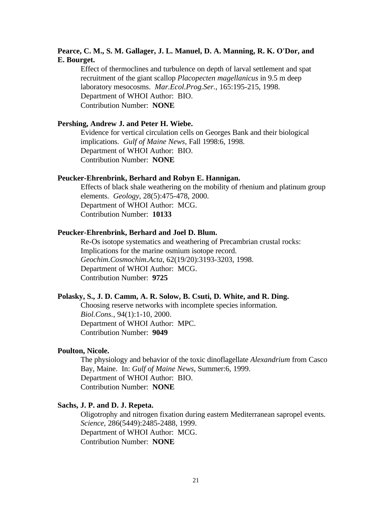# **Pearce, C. M., S. M. Gallager, J. L. Manuel, D. A. Manning, R. K. O'Dor, and E. Bourget.**

Effect of thermoclines and turbulence on depth of larval settlement and spat recruitment of the giant scallop *Placopecten magellanicus* in 9.5 m deep laboratory mesocosms. *Mar.Ecol.Prog.Ser.*, 165:195-215, 1998. Department of WHOI Author: BIO. Contribution Number: **NONE**

#### **Pershing, Andrew J. and Peter H. Wiebe.**

Evidence for vertical circulation cells on Georges Bank and their biological implications. *Gulf of Maine News*, Fall 1998:6, 1998. Department of WHOI Author: BIO. Contribution Number: **NONE**

#### **Peucker-Ehrenbrink, Berhard and Robyn E. Hannigan.**

Effects of black shale weathering on the mobility of rhenium and platinum group elements. *Geology*, 28(5):475-478, 2000. Department of WHOI Author: MCG. Contribution Number: **10133**

#### **Peucker-Ehrenbrink, Berhard and Joel D. Blum.**

Re-Os isotope systematics and weathering of Precambrian crustal rocks: Implications for the marine osmium isotope record. *Geochim.Cosmochim.Acta*, 62(19/20):3193-3203, 1998. Department of WHOI Author: MCG. Contribution Number: **9725**

#### **Polasky, S., J. D. Camm, A. R. Solow, B. Csuti, D. White, and R. Ding.**

Choosing reserve networks with incomplete species information. *Biol.Cons.*, 94(1):1-10, 2000. Department of WHOI Author: MPC. Contribution Number: **9049**

#### **Poulton, Nicole.**

The physiology and behavior of the toxic dinoflagellate *Alexandrium* from Casco Bay, Maine. In: *Gulf of Maine News*, Summer:6, 1999. Department of WHOI Author: BIO. Contribution Number: **NONE**

# **Sachs, J. P. and D. J. Repeta.**

Oligotrophy and nitrogen fixation during eastern Mediterranean sapropel events. *Science*, 286(5449):2485-2488, 1999. Department of WHOI Author: MCG. Contribution Number: **NONE**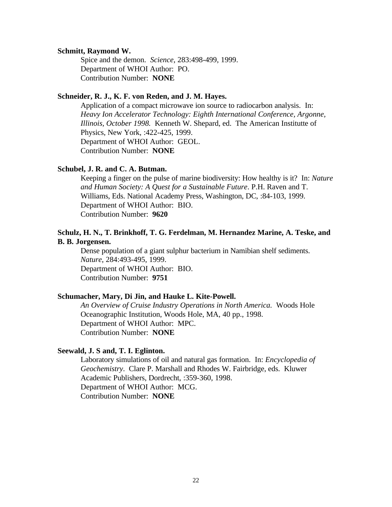#### **Schmitt, Raymond W.**

Spice and the demon. *Science*, 283:498-499, 1999. Department of WHOI Author: PO. Contribution Number: **NONE**

# **Schneider, R. J., K. F. von Reden, and J. M. Hayes.**

Application of a compact microwave ion source to radiocarbon analysis. In: *Heavy Ion Accelerator Technology: Eighth International Conference, Argonne, Illinois, October 1998.* Kenneth W. Shepard, ed. The American Institutte of Physics, New York, :422-425, 1999. Department of WHOI Author: GEOL. Contribution Number: **NONE**

### **Schubel, J. R. and C. A. Butman.**

Keeping a finger on the pulse of marine biodiversity: How healthy is it? In: *Nature and Human Society: A Quest for a Sustainable Future*. P.H. Raven and T. Williams, Eds. National Academy Press, Washington, DC, :84-103, 1999. Department of WHOI Author: BIO. Contribution Number: **9620**

#### **Schulz, H. N., T. Brinkhoff, T. G. Ferdelman, M. Hernandez Marine, A. Teske, and B. B. Jorgensen.**

Dense population of a giant sulphur bacterium in Namibian shelf sediments. *Nature*, 284:493-495, 1999. Department of WHOI Author: BIO. Contribution Number: **9751**

#### **Schumacher, Mary, Di Jin, and Hauke L. Kite-Powell.**

*An Overview of Cruise Industry Operations in North America.* Woods Hole Oceanographic Institution, Woods Hole, MA, 40 pp., 1998. Department of WHOI Author: MPC. Contribution Number: **NONE**

#### **Seewald, J. S and, T. I. Eglinton.**

Laboratory simulations of oil and natural gas formation. In: *Encyclopedia of Geochemistry*. Clare P. Marshall and Rhodes W. Fairbridge, eds. Kluwer Academic Publishers, Dordrecht, :359-360, 1998. Department of WHOI Author: MCG. Contribution Number: **NONE**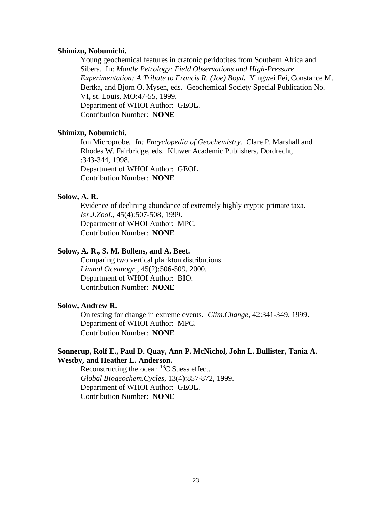#### **Shimizu, Nobumichi.**

Young geochemical features in cratonic peridotites from Southern Africa and Sibera. In: *Mantle Petrology: Field Observations and High-Pressure Experimentation: A Tribute to Francis R. (Joe) Boyd.* Yingwei Fei, Constance M. Bertka, and Bjorn O. Mysen, eds. Geochemical Society Special Publication No. VI**,** st. Louis, MO:47-55, 1999. Department of WHOI Author: GEOL. Contribution Number: **NONE**

#### **Shimizu, Nobumichi.**

Ion Microprobe*. In: Encyclopedia of Geochemistry.* Clare P. Marshall and Rhodes W. Fairbridge, eds. Kluwer Academic Publishers, Dordrecht, :343-344, 1998. Department of WHOI Author: GEOL. Contribution Number: **NONE**

### **Solow, A. R.**

Evidence of declining abundance of extremely highly cryptic primate taxa. *Isr.J.Zool.*, 45(4):507-508, 1999. Department of WHOI Author: MPC. Contribution Number: **NONE**

#### **Solow, A. R., S. M. Bollens, and A. Beet.**

Comparing two vertical plankton distributions. *Limnol.Oceanogr.*, 45(2):506-509, 2000. Department of WHOI Author: BIO. Contribution Number: **NONE**

#### **Solow, Andrew R.**

On testing for change in extreme events. *Clim.Change*, 42:341-349, 1999. Department of WHOI Author: MPC. Contribution Number: **NONE**

# **Sonnerup, Rolf E., Paul D. Quay, Ann P. McNichol, John L. Bullister, Tania A. Westby, and Heather L. Anderson.**

Reconstructing the ocean  ${}^{13}C$  Suess effect. *Global Biogeochem.Cycles*, 13(4):857-872, 1999. Department of WHOI Author: GEOL. Contribution Number: **NONE**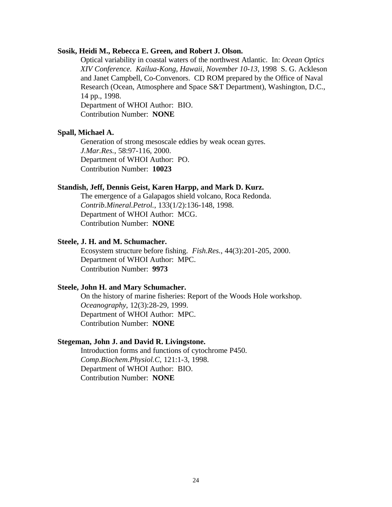### **Sosik, Heidi M., Rebecca E. Green, and Robert J. Olson.**

Optical variability in coastal waters of the northwest Atlantic. In: *Ocean Optics XIV Conference. Kailua-Kong, Hawaii, November 10-13,* 1998 S. G. Ackleson and Janet Campbell, Co-Convenors. CD ROM prepared by the Office of Naval Research (Ocean, Atmosphere and Space S&T Department), Washington, D.C., 14 pp., 1998.

Department of WHOI Author: BIO. Contribution Number: **NONE**

# **Spall, Michael A.**

Generation of strong mesoscale eddies by weak ocean gyres. *J.Mar.Res.*, 58:97-116, 2000. Department of WHOI Author: PO. Contribution Number: **10023**

#### **Standish, Jeff, Dennis Geist, Karen Harpp, and Mark D. Kurz.**

The emergence of a Galapagos shield volcano, Roca Redonda. *Contrib.Mineral.Petrol.*, 133(1/2):136-148, 1998. Department of WHOI Author: MCG. Contribution Number: **NONE**

#### **Steele, J. H. and M. Schumacher.**

Ecosystem structure before fishing. *Fish.Res.*, 44(3):201-205, 2000. Department of WHOI Author: MPC. Contribution Number: **9973**

#### **Steele, John H. and Mary Schumacher.**

On the history of marine fisheries: Report of the Woods Hole workshop. *Oceanography*, 12(3):28-29, 1999. Department of WHOI Author: MPC. Contribution Number: **NONE**

#### **Stegeman, John J. and David R. Livingstone.**

Introduction forms and functions of cytochrome P450. *Comp.Biochem.Physiol.C*, 121:1-3, 1998. Department of WHOI Author: BIO. Contribution Number: **NONE**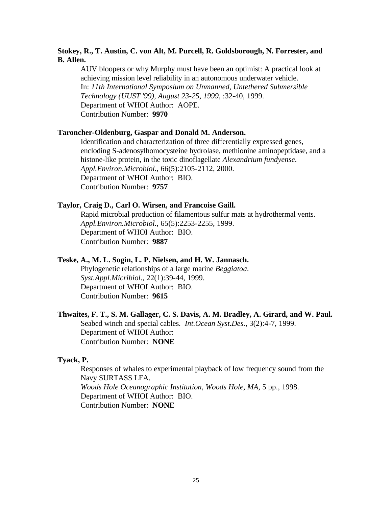# **Stokey, R., T. Austin, C. von Alt, M. Purcell, R. Goldsborough, N. Forrester, and B. Allen.**

AUV bloopers or why Murphy must have been an optimist: A practical look at achieving mission level reliability in an autonomous underwater vehicle. In: *11th International Symposium on Unmanned, Untethered Submersible Technology (UUST '99), August 23-25, 1999*, :32-40, 1999. Department of WHOI Author: AOPE. Contribution Number: **9970**

#### **Taroncher-Oldenburg, Gaspar and Donald M. Anderson.**

Identification and characterization of three differentially expressed genes, encloding S-adenosylhomocysteine hydrolase, methionine aminopeptidase, and a histone-like protein, in the toxic dinoflagellate *Alexandrium fundyense*. *Appl.Environ.Microbiol.*, 66(5):2105-2112, 2000. Department of WHOI Author: BIO. Contribution Number: **9757**

## **Taylor, Craig D., Carl O. Wirsen, and Francoise Gaill.**

Rapid microbial production of filamentous sulfur mats at hydrothermal vents. *Appl.Environ.Microbiol.*, 65(5):2253-2255, 1999. Department of WHOI Author: BIO. Contribution Number: **9887**

#### **Teske, A., M. L. Sogin, L. P. Nielsen, and H. W. Jannasch.**

Phylogenetic relationships of a large marine *Beggiatoa*. *Syst.Appl.Micribiol.*, 22(1):39-44, 1999. Department of WHOI Author: BIO. Contribution Number: **9615**

# **Thwaites, F. T., S. M. Gallager, C. S. Davis, A. M. Bradley, A. Girard, and W. Paul.**

Seabed winch and special cables. *Int.Ocean Syst.Des.*, 3(2):4-7, 1999. Department of WHOI Author: Contribution Number: **NONE**

#### **Tyack, P.**

Responses of whales to experimental playback of low frequency sound from the Navy SURTASS LFA. *Woods Hole Oceanographic Institution, Woods Hole, MA*, 5 pp., 1998. Department of WHOI Author: BIO. Contribution Number: **NONE**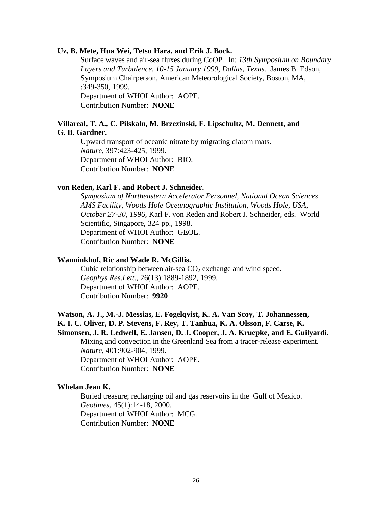#### **Uz, B. Mete, Hua Wei, Tetsu Hara, and Erik J. Bock.**

Surface waves and air-sea fluxes during CoOP. In: *13th Symposium on Boundary Layers and Turbulence, 10-15 January 1999, Dallas, Texas.* James B. Edson, Symposium Chairperson, American Meteorological Society, Boston, MA, :349-350, 1999. Department of WHOI Author: AOPE. Contribution Number: **NONE**

#### **Villareal, T. A., C. Pilskaln, M. Brzezinski, F. Lipschultz, M. Dennett, and G. B. Gardner.**

Upward transport of oceanic nitrate by migrating diatom mats. *Nature*, 397:423-425, 1999. Department of WHOI Author: BIO. Contribution Number: **NONE**

#### **von Reden, Karl F. and Robert J. Schneider.**

*Symposium of Northeastern Accelerator Personnel, National Ocean Sciences AMS Facility, Woods Hole Oceanographic Institution, Woods Hole, USA, October 27-30, 1996,* Karl F. von Reden and Robert J. Schneider, eds. World Scientific, Singapore, 324 pp., 1998. Department of WHOI Author: GEOL. Contribution Number: **NONE**

#### **Wanninkhof, Ric and Wade R. McGillis.**

Cubic relationship between air-sea  $CO<sub>2</sub>$  exchange and wind speed. *Geophys.Res.Lett.*, 26(13):1889-1892, 1999. Department of WHOI Author: AOPE. Contribution Number: **9920**

# **Watson, A. J., M.-J. Messias, E. Fogelqvist, K. A. Van Scoy, T. Johannessen, K. I. C. Oliver, D. P. Stevens, F. Rey, T. Tanhua, K. A. Olsson, F. Carse, K.**

**Simonsen, J. R. Ledwell, E. Jansen, D. J. Cooper, J. A. Kruepke, and E. Guilyardi.** Mixing and convection in the Greenland Sea from a tracer-release experiment. *Nature*, 401:902-904, 1999. Department of WHOI Author: AOPE.

Contribution Number: **NONE**

#### **Whelan Jean K.**

Buried treasure; recharging oil and gas reservoirs in the Gulf of Mexico. *Geotimes*, 45(1):14-18, 2000. Department of WHOI Author: MCG. Contribution Number: **NONE**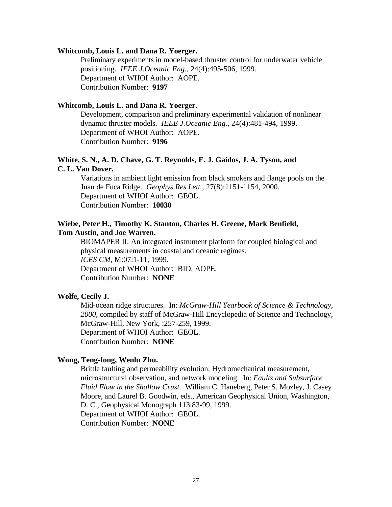#### **Whitcomb, Louis L. and Dana R. Yoerger.**

Preliminary experiments in model-based thruster control for underwater vehicle positioning. *IEEE J.Oceanic Eng.*, 24(4):495-506, 1999. Department of WHOI Author: AOPE. Contribution Number: **9197**

#### **Whitcomb, Louis L. and Dana R. Yoerger.**

Development, comparison and preliminary experimental validation of nonlinear dynamic thruster models. *IEEE J.Oceanic Eng.*, 24(4):481-494, 1999. Department of WHOI Author: AOPE. Contribution Number: **9196**

# **White, S. N., A. D. Chave, G. T. Reynolds, E. J. Gaidos, J. A. Tyson, and C. L. Van Dover.**

Variations in ambient light emission from black smokers and flange pools on the Juan de Fuca Ridge. *Geophys.Res.Lett.*, 27(8):1151-1154, 2000. Department of WHOI Author: GEOL. Contribution Number: **10030**

# **Wiebe, Peter H., Timothy K. Stanton, Charles H. Greene, Mark Benfield, Tom Austin, and Joe Warren.**

BIOMAPER II: An integrated instrument platform for coupled biological and physical measurements in coastal and oceanic regimes. *ICES CM*, M:07:1-11, 1999. Department of WHOI Author: BIO. AOPE. Contribution Number: **NONE**

# **Wolfe, Cecily J.**

Mid-ocean ridge structures. In: *McGraw-Hill Yearbook of Science & Technology, 2000*, compiled by staff of McGraw-Hill Encyclopedia of Science and Technology, McGraw-Hill, New York, :257-259, 1999. Department of WHOI Author: GEOL. Contribution Number: **NONE**

#### **Wong, Teng-fong, Wenlu Zhu.**

Brittle faulting and permeability evolution: Hydromechanical measurement, microstructural observation, and network modeling. In: *Faults and Subsurface Fluid Flow in the Shallow Crust.* William C. Haneberg, Peter S. Mozley, J. Casey Moore, and Laurel B. Goodwin, eds., American Geophysical Union, Washington, D. C., Geophysical Monograph 113:83-99, 1999. Department of WHOI Author: GEOL. Contribution Number: **NONE**